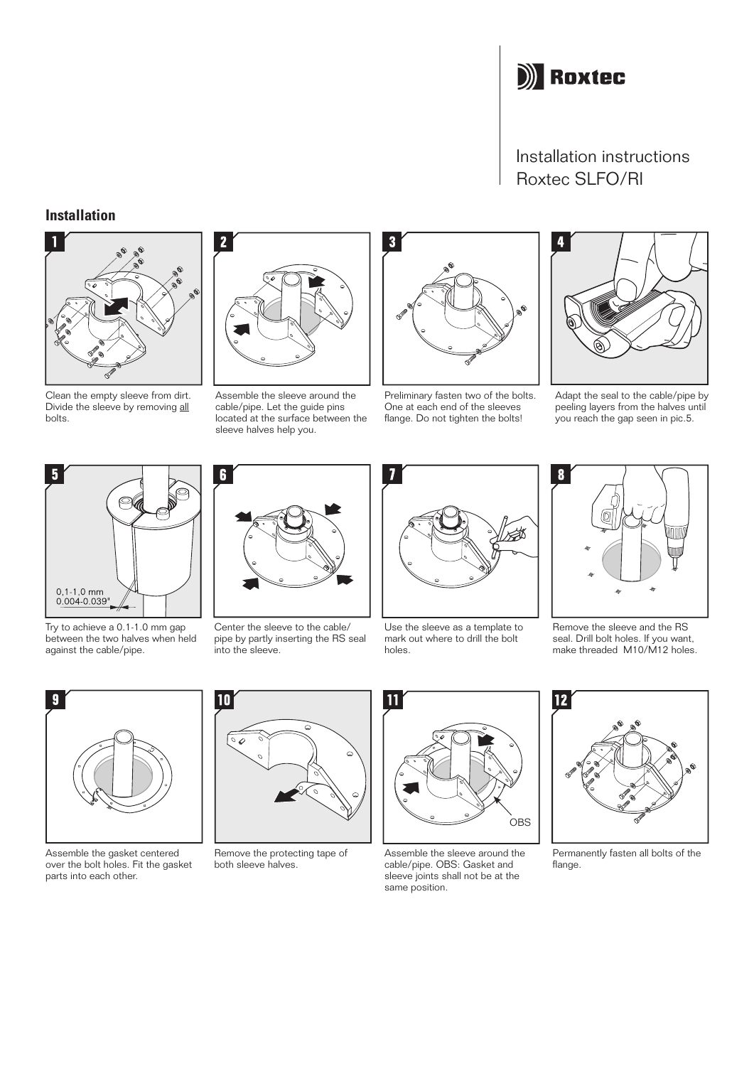

## Installation instructions Roxtec SLFO/RI

## **Installation**



Clean the empty sleeve from dirt. Divide the sleeve by removing all bolts.



Assemble the sleeve around the cable/pipe. Let the guide pins located at the surface between the sleeve halves help you.



Preliminary fasten two of the bolts. One at each end of the sleeves flange. Do not tighten the bolts!



Adapt the seal to the cable/pipe by peeling layers from the halves until you reach the gap seen in pic.5.



Try to achieve a 0.1-1.0 mm gap between the two halves when held against the cable/pipe.



Assemble the gasket centered over the bolt holes. Fit the gasket parts into each other.



Center the sleeve to the cable/ pipe by partly inserting the RS seal into the sleeve.

10



Use the sleeve as a template to mark out where to drill the bolt holes.



Remove the sleeve and the RS seal. Drill bolt holes. If you want, make threaded M10/M12 holes.



Remove the protecting tape of both sleeve halves.



Assemble the sleeve around the cable/pipe. OBS: Gasket and sleeve joints shall not be at the same position.



Permanently fasten all bolts of the flange.